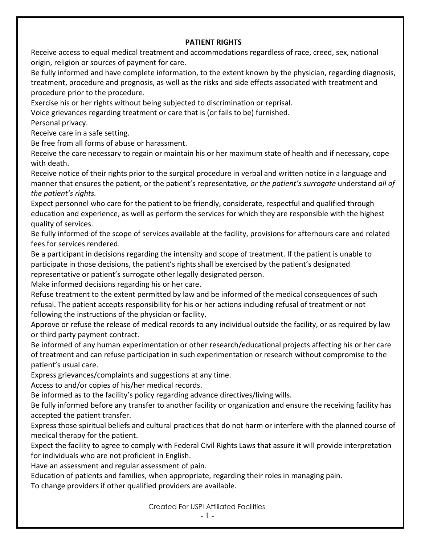## **PATIENT RIGHTS**

Receive access to equal medical treatment and accommodations regardless of race, creed, sex, national origin, religion or sources of payment for care.

Be fully informed and have complete information, to the extent known by the physician, regarding diagnosis, treatment, procedure and prognosis, as well as the risks and side effects associated with treatment and procedure prior to the procedure.

Exercise his or her rights without being subjected to discrimination or reprisal.

Voice grievances regarding treatment or care that is (or fails to be) furnished.

Personal privacy.

Receive care in a safe setting.

Be free from all forms of abuse or harassment.

Receive the care necessary to regain or maintain his or her maximum state of health and if necessary, cope with death.

Receive notice of their rights prior to the surgical procedure in verbal and written notice in a language and manner that ensures the patient, or the patient's representative*, or the patient's surrogate* understand *all of the patient's rights.*

Expect personnel who care for the patient to be friendly, considerate, respectful and qualified through education and experience, as well as perform the services for which they are responsible with the highest quality of services.

Be fully informed of the scope of services available at the facility, provisions for afterhours care and related fees for services rendered.

Be a participant in decisions regarding the intensity and scope of treatment. If the patient is unable to participate in those decisions, the patient's rights shall be exercised by the patient's designated representative or patient's surrogate other legally designated person.

Make informed decisions regarding his or her care.

Refuse treatment to the extent permitted by law and be informed of the medical consequences of such refusal. The patient accepts responsibility for his or her actions including refusal of treatment or not following the instructions of the physician or facility.

Approve or refuse the release of medical records to any individual outside the facility, or as required by law or third party payment contract.

Be informed of any human experimentation or other research/educational projects affecting his or her care of treatment and can refuse participation in such experimentation or research without compromise to the patient's usual care.

Express grievances/complaints and suggestions at any time.

Access to and/or copies of his/her medical records.

Be informed as to the facility's policy regarding advance directives/living wills.

Be fully informed before any transfer to another facility or organization and ensure the receiving facility has accepted the patient transfer.

Express those spiritual beliefs and cultural practices that do not harm or interfere with the planned course of medical therapy for the patient.

Expect the facility to agree to comply with Federal Civil Rights Laws that assure it will provide interpretation for individuals who are not proficient in English.

Have an assessment and regular assessment of pain.

Education of patients and families, when appropriate, regarding their roles in managing pain.

To change providers if other qualified providers are available.

Created For USPI Affiliated Facilities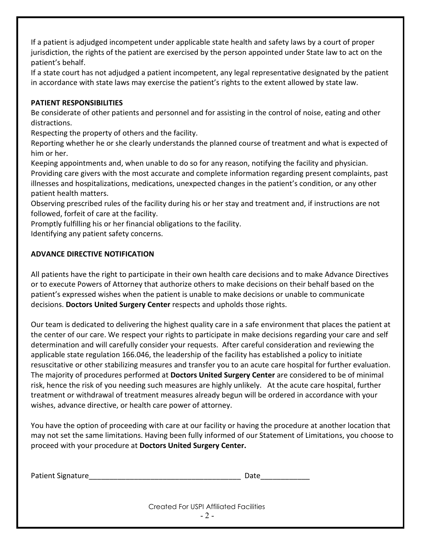If a patient is adjudged incompetent under applicable state health and safety laws by a court of proper jurisdiction, the rights of the patient are exercised by the person appointed under State law to act on the patient's behalf.

If a state court has not adjudged a patient incompetent, any legal representative designated by the patient in accordance with state laws may exercise the patient's rights to the extent allowed by state law.

## **PATIENT RESPONSIBILITIES**

Be considerate of other patients and personnel and for assisting in the control of noise, eating and other distractions.

Respecting the property of others and the facility.

Reporting whether he or she clearly understands the planned course of treatment and what is expected of him or her.

Keeping appointments and, when unable to do so for any reason, notifying the facility and physician. Providing care givers with the most accurate and complete information regarding present complaints, past illnesses and hospitalizations, medications, unexpected changes in the patient's condition, or any other patient health matters.

Observing prescribed rules of the facility during his or her stay and treatment and, if instructions are not followed, forfeit of care at the facility.

Promptly fulfilling his or her financial obligations to the facility.

Identifying any patient safety concerns.

## **ADVANCE DIRECTIVE NOTIFICATION**

All patients have the right to participate in their own health care decisions and to make Advance Directives or to execute Powers of Attorney that authorize others to make decisions on their behalf based on the patient's expressed wishes when the patient is unable to make decisions or unable to communicate decisions. **Doctors United Surgery Center** respects and upholds those rights.

Our team is dedicated to delivering the highest quality care in a safe environment that places the patient at the center of our care. We respect your rights to participate in make decisions regarding your care and self determination and will carefully consider your requests. After careful consideration and reviewing the applicable state regulation 166.046, the leadership of the facility has established a policy to initiate resuscitative or other stabilizing measures and transfer you to an acute care hospital for further evaluation. The majority of procedures performed at **Doctors United Surgery Center** are considered to be of minimal risk, hence the risk of you needing such measures are highly unlikely. At the acute care hospital, further treatment or withdrawal of treatment measures already begun will be ordered in accordance with your wishes, advance directive, or health care power of attorney.

You have the option of proceeding with care at our facility or having the procedure at another location that may not set the same limitations. Having been fully informed of our Statement of Limitations, you choose to proceed with your procedure at **Doctors United Surgery Center.**

| <b>Patient Signature</b> | Date |
|--------------------------|------|
|                          |      |

Created For USPI Affiliated Facilities